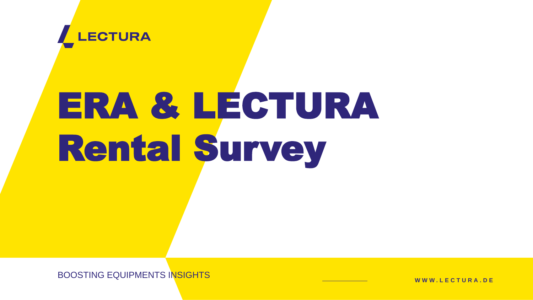**W W W . L E C T U R A . D E**

BOOSTING EQUIPMENTS INSIGHTS



# ERA & LECTURA Rental Survey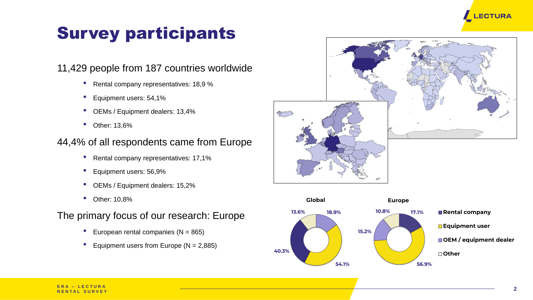#### 11,429 people from 187 countries worldwide

- Rental company representatives: 18,9 %
- Equipment users: 54,1%
- OEMs / Equipment dealers: 13,4%
- Other: 13,6%

#### 44,4% of all respondents came from Europe

- Rental company representatives: 17,1%
- Equipment users: 56,9%
- OEMs / Equipment dealers: 15,2%
- Other: 10,8%

#### The primary focus of our research: Europe

- European rental companies  $(N = 865)$
- Equipment users from Europe  $(N = 2,885)$

# Survey participants









**17.1%**

**56.9%**

**15.2%**

**10.8%**



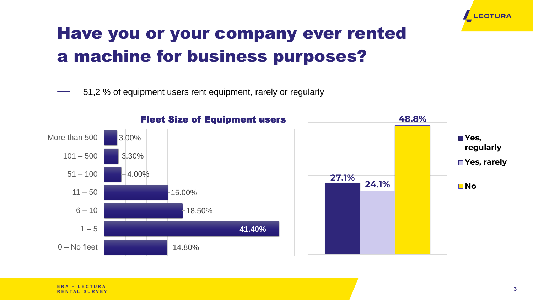― 51,2 % of equipment users rent equipment, rarely or regularly



# Have you or your company ever rented a machine for business purposes?

**R E N T A L S U R V E Y**



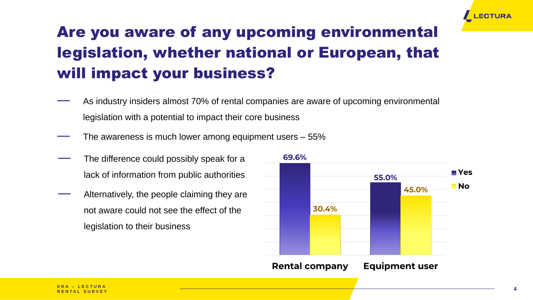

# Are you aware of any upcoming environmental legislation, whether national or European, that will impact your business?

- As industry insiders almost 70% of rental companies are aware of upcoming environmental
	- legislation with a potential to impact their core business
- The awareness is much lower among equipment users 55%
- The difference could possibly speak for a lack of information from public authorities
- Alternatively, the people claiming they are not aware could not see the effect of the legislation to their business



**Rental company Equipment user**



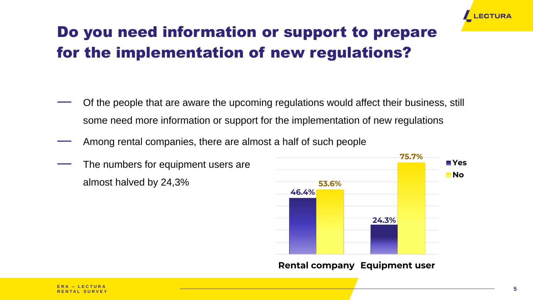

**Rental company Equipment user**



Of the people that are aware the upcoming regulations would affect their business, still some need more information or support for the implementation of new regulations

- 
- Among rental companies, there are almost a half of such people
- The numbers for equipment users are almost halved by 24,3%



#### Do you need information or support to prepare for the implementation of new regulations?

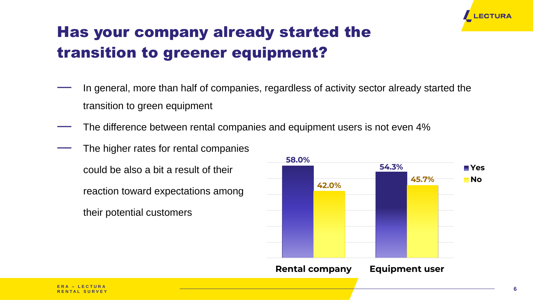- transition to green equipment
- 
- The higher rates for rental companies
	- could be also a bit a result of their
	- reaction toward expectations among
	- their potential customers



## Has your company already started the transition to greener equipment?





In general, more than half of companies, regardless of activity sector already started the

The difference between rental companies and equipment users is not even 4%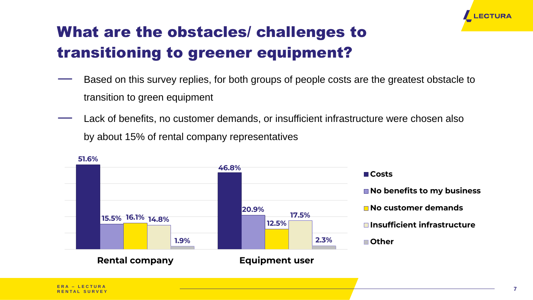- transition to green equipment
- by about 15% of rental company representatives



- **No benefits to my business**
- No customer demands
- **Insufficient infrastructure**
- **Other**

# What are the obstacles/ challenges to transitioning to greener equipment?



**Rental company Equipment user**

#### **Costs**



Based on this survey replies, for both groups of people costs are the greatest obstacle to

Lack of benefits, no customer demands, or insufficient infrastructure were chosen also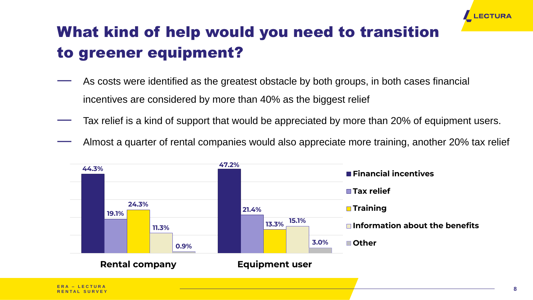- As costs were identified as the greatest obstacle by both groups, in both cases financial
	- incentives are considered by more than 40% as the biggest relief



## What kind of help would you need to transition to greener equipment?





**R E N T A L S U R V E Y**

- Tax relief is a kind of support that would be appreciated by more than 20% of equipment users.
- Almost a quarter of rental companies would also appreciate more training, another 20% tax relief